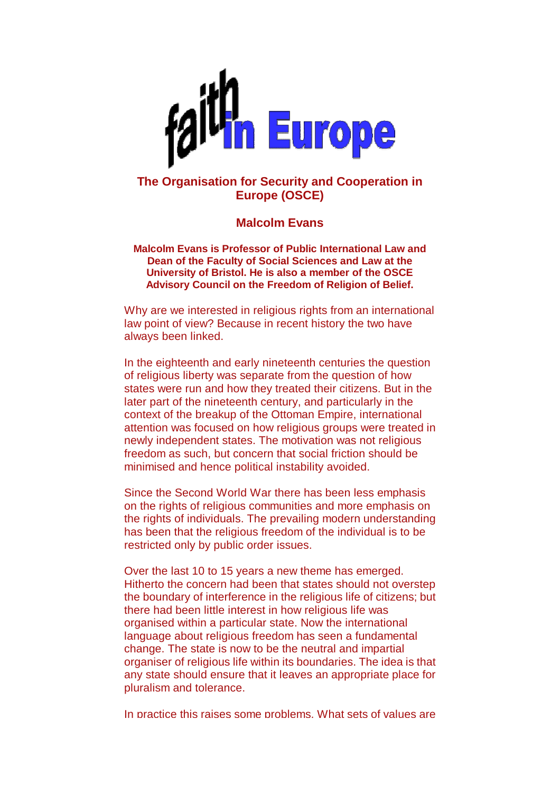

## **The Organisation for Security and Cooperation in Europe (OSCE)**

## **Malcolm Evans**

**Malcolm Evans is Professor of Public International Law and Dean of the Faculty of Social Sciences and Law at the University of Bristol. He is also a member of the OSCE Advisory Council on the Freedom of Religion of Belief.** 

Why are we interested in religious rights from an international law point of view? Because in recent history the two have always been linked.

In the eighteenth and early nineteenth centuries the question of religious liberty was separate from the question of how states were run and how they treated their citizens. But in the later part of the nineteenth century, and particularly in the context of the breakup of the Ottoman Empire, international attention was focused on how religious groups were treated in newly independent states. The motivation was not religious freedom as such, but concern that social friction should be minimised and hence political instability avoided.

Since the Second World War there has been less emphasis on the rights of religious communities and more emphasis on the rights of individuals. The prevailing modern understanding has been that the religious freedom of the individual is to be restricted only by public order issues.

Over the last 10 to 15 years a new theme has emerged. Hitherto the concern had been that states should not overstep the boundary of interference in the religious life of citizens; but there had been little interest in how religious life was organised within a particular state. Now the international language about religious freedom has seen a fundamental change. The state is now to be the neutral and impartial organiser of religious life within its boundaries. The idea is that any state should ensure that it leaves an appropriate place for pluralism and tolerance.

In practice this raises some problems. What sets of values are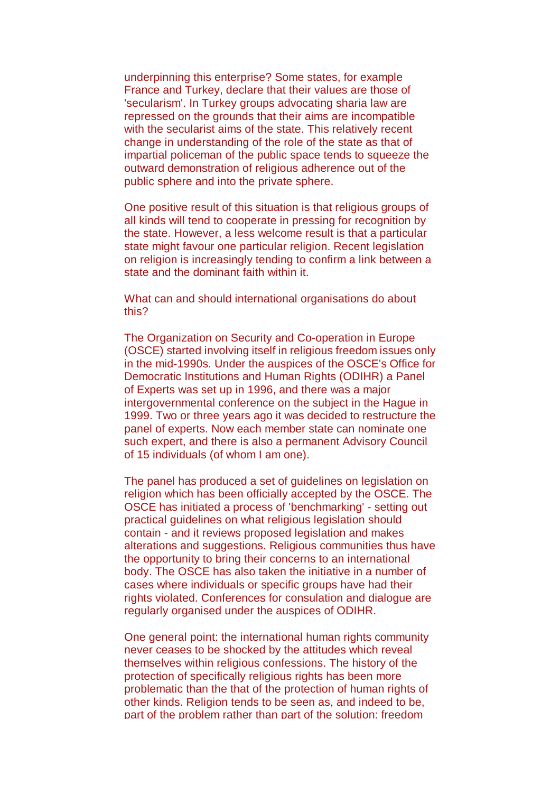underpinning this enterprise? Some states, for example France and Turkey, declare that their values are those of 'secularism'. In Turkey groups advocating sharia law are repressed on the grounds that their aims are incompatible with the secularist aims of the state. This relatively recent change in understanding of the role of the state as that of impartial policeman of the public space tends to squeeze the outward demonstration of religious adherence out of the public sphere and into the private sphere.

One positive result of this situation is that religious groups of all kinds will tend to cooperate in pressing for recognition by the state. However, a less welcome result is that a particular state might favour one particular religion. Recent legislation on religion is increasingly tending to confirm a link between a state and the dominant faith within it.

What can and should international organisations do about this?

The Organization on Security and Co-operation in Europe (OSCE) started involving itself in religious freedom issues only in the mid-1990s. Under the auspices of the OSCE's Office for Democratic Institutions and Human Rights (ODIHR) a Panel of Experts was set up in 1996, and there was a major intergovernmental conference on the subject in the Hague in 1999. Two or three years ago it was decided to restructure the panel of experts. Now each member state can nominate one such expert, and there is also a permanent Advisory Council of 15 individuals (of whom I am one).

The panel has produced a set of guidelines on legislation on religion which has been officially accepted by the OSCE. The OSCE has initiated a process of 'benchmarking' - setting out practical guidelines on what religious legislation should contain - and it reviews proposed legislation and makes alterations and suggestions. Religious communities thus have the opportunity to bring their concerns to an international body. The OSCE has also taken the initiative in a number of cases where individuals or specific groups have had their rights violated. Conferences for consulation and dialogue are regularly organised under the auspices of ODIHR.

One general point: the international human rights community never ceases to be shocked by the attitudes which reveal themselves within religious confessions. The history of the protection of specifically religious rights has been more problematic than the that of the protection of human rights of other kinds. Religion tends to be seen as, and indeed to be, part of the problem rather than part of the solution: freedom